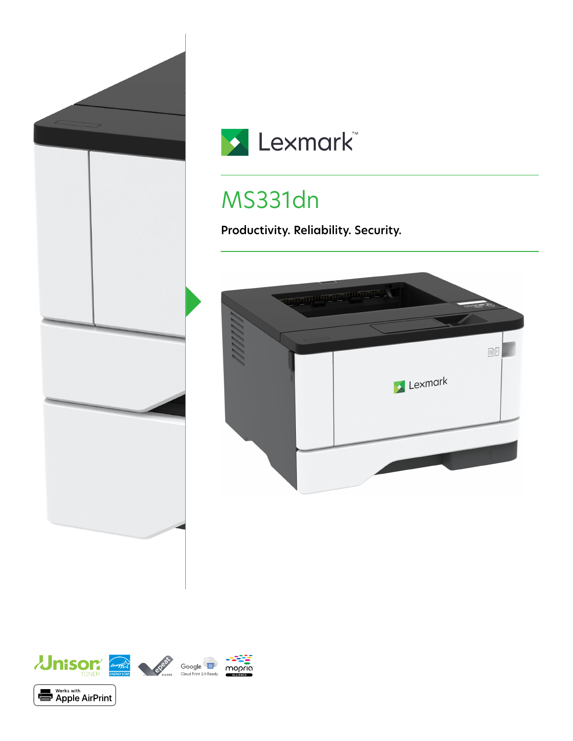



# MS331dn

**Productivity. Reliability. Security.**



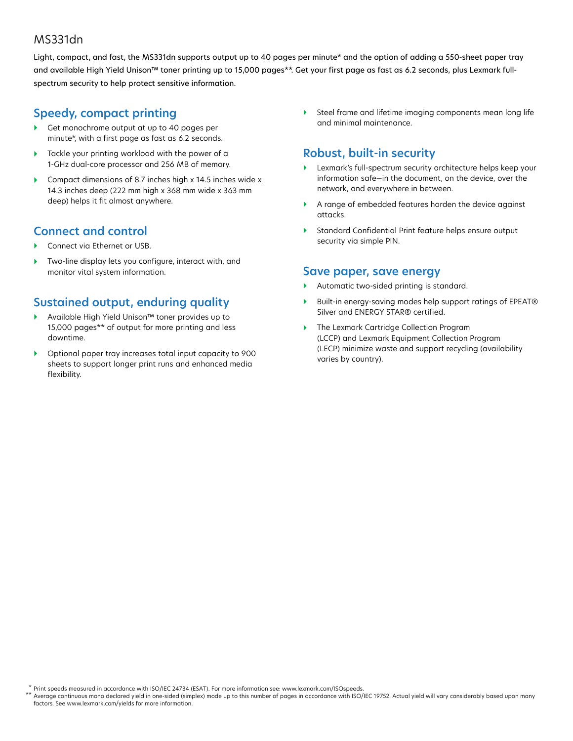#### MS331dn

Light, compact, and fast, the MS331dn supports output up to 40 pages per minute\* and the option of adding a 550-sheet paper tray and available High Yield Unison™ toner printing up to 15,000 pages\*\*. Get your first page as fast as 6.2 seconds, plus Lexmark fullspectrum security to help protect sensitive information.

#### **Speedy, compact printing**

- Get monochrome output at up to 40 pages per minute\*, with a first page as fast as 6.2 seconds.
- Tackle your printing workload with the power of a 1-GHz dual-core processor and 256 MB of memory.
- Compact dimensions of 8.7 inches high x 14.5 inches wide x 14.3 inches deep (222 mm high x 368 mm wide x 363 mm deep) helps it fit almost anywhere.

#### **Connect and control**

- Connect via Ethernet or USB.
- ▶ Two-line display lets you configure, interact with, and monitor vital system information.

## **Sustained output, enduring quality**

- Available High Yield Unison™ toner provides up to 15,000 pages\*\* of output for more printing and less downtime.
- Optional paper tray increases total input capacity to 900 sheets to support longer print runs and enhanced media flexibility.

 Steel frame and lifetime imaging components mean long life and minimal maintenance.

### **Robust, built-in security**

- Lexmark's full-spectrum security architecture helps keep your information safe—in the document, on the device, over the network, and everywhere in between.
- A range of embedded features harden the device against attacks.
- Standard Confidential Print feature helps ensure output security via simple PIN.

#### **Save paper, save energy**

- Automatic two-sided printing is standard.
- ▶ Built-in energy-saving modes help support ratings of EPEAT<sup>®</sup> Silver and ENERGY STAR® certified.
- ▶ The Lexmark Cartridge Collection Program (LCCP) and Lexmark Equipment Collection Program (LECP) minimize waste and support recycling (availability varies by country).

Print speeds measured in accordance with ISO/IEC 24734 (ESAT). For more information see: www.lexmark.com/ISOspeeds. \* \*\*

Average continuous mono declared yield in one-sided (simplex) mode up to this number of pages in accordance with ISO/IEC 19752. Actual yield will vary considerably based upon many factors. See www.lexmark.com/yields for more information.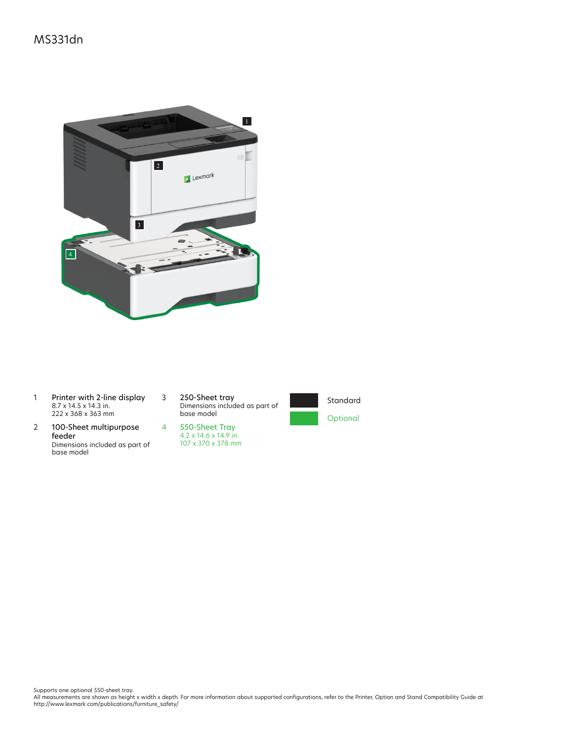

- 1 Printer with 2-line display 8.7 x 14.5 x 14.3 in. 222 x 368 x 363 mm
- 2 100-Sheet multipurpose feeder Dimensions included as part of base model

3 250-Sheet tray Dimensions included as part of base model





Supports one optional 550-sheet tray.<br>All measurements are shown as height x width x depth. For more information about supported configurations, refer to the Printer, Option and Stand Compatibility Guide at<br>http://www.lexm